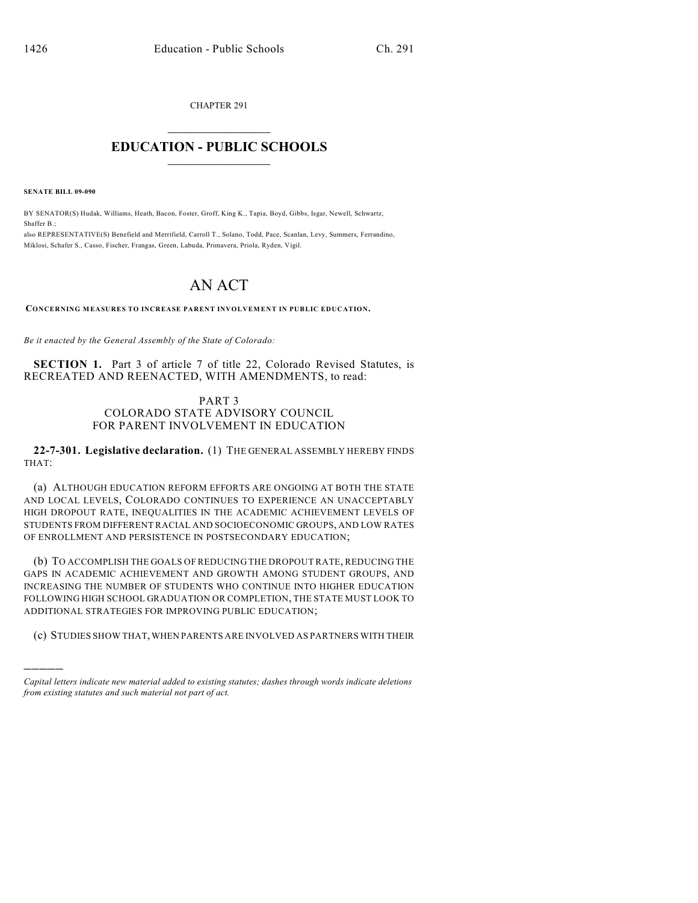CHAPTER 291

## $\overline{\phantom{a}}$  . The set of the set of the set of the set of the set of the set of the set of the set of the set of the set of the set of the set of the set of the set of the set of the set of the set of the set of the set o **EDUCATION - PUBLIC SCHOOLS**  $\_$   $\_$   $\_$   $\_$   $\_$   $\_$   $\_$   $\_$   $\_$

**SENATE BILL 09-090**

)))))

BY SENATOR(S) Hudak, Williams, Heath, Bacon, Foster, Groff, King K., Tapia, Boyd, Gibbs, Isgar, Newell, Schwartz, Shaffer B.;

also REPRESENTATIVE(S) Benefield and Merrifield, Carroll T., Solano, Todd, Pace, Scanlan, Levy, Summers, Ferrandino, Miklosi, Schafer S., Casso, Fischer, Frangas, Green, Labuda, Primavera, Priola, Ryden, Vigil.

## AN ACT

**CONCERNING MEASURES TO INCREASE PARENT INVOLVEMENT IN PUBLIC EDUCATION.**

*Be it enacted by the General Assembly of the State of Colorado:*

**SECTION 1.** Part 3 of article 7 of title 22, Colorado Revised Statutes, is RECREATED AND REENACTED, WITH AMENDMENTS, to read:

## PART 3 COLORADO STATE ADVISORY COUNCIL FOR PARENT INVOLVEMENT IN EDUCATION

**22-7-301. Legislative declaration.** (1) THE GENERAL ASSEMBLY HEREBY FINDS THAT:

(a) ALTHOUGH EDUCATION REFORM EFFORTS ARE ONGOING AT BOTH THE STATE AND LOCAL LEVELS, COLORADO CONTINUES TO EXPERIENCE AN UNACCEPTABLY HIGH DROPOUT RATE, INEQUALITIES IN THE ACADEMIC ACHIEVEMENT LEVELS OF STUDENTS FROM DIFFERENT RACIAL AND SOCIOECONOMIC GROUPS, AND LOW RATES OF ENROLLMENT AND PERSISTENCE IN POSTSECONDARY EDUCATION;

(b) TO ACCOMPLISH THE GOALS OF REDUCING THE DROPOUT RATE, REDUCING THE GAPS IN ACADEMIC ACHIEVEMENT AND GROWTH AMONG STUDENT GROUPS, AND INCREASING THE NUMBER OF STUDENTS WHO CONTINUE INTO HIGHER EDUCATION FOLLOWING HIGH SCHOOL GRADUATION OR COMPLETION, THE STATE MUST LOOK TO ADDITIONAL STRATEGIES FOR IMPROVING PUBLIC EDUCATION;

(c) STUDIES SHOW THAT, WHEN PARENTS ARE INVOLVED AS PARTNERS WITH THEIR

*Capital letters indicate new material added to existing statutes; dashes through words indicate deletions from existing statutes and such material not part of act.*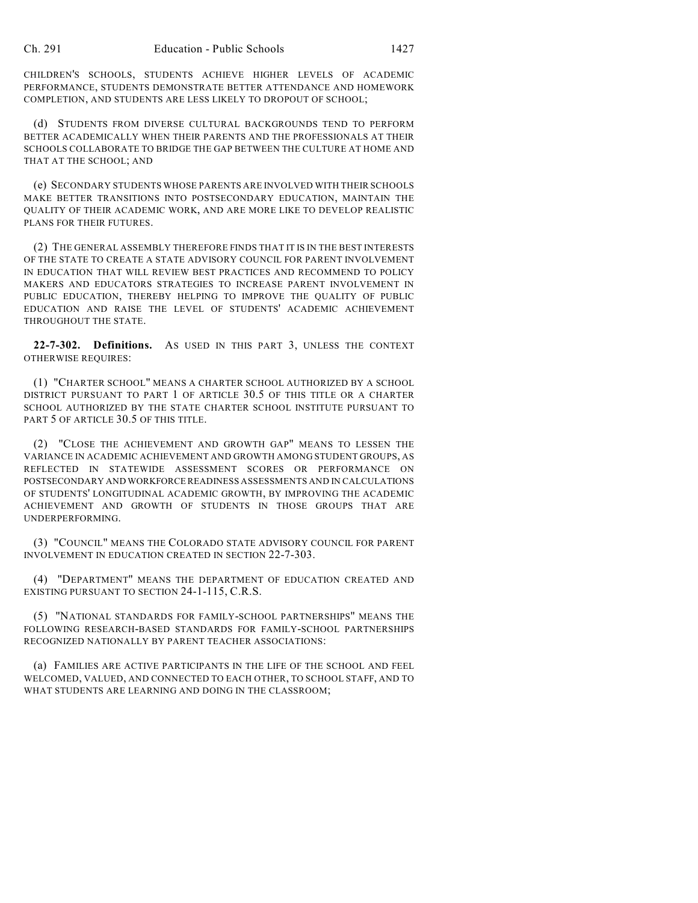CHILDREN'S SCHOOLS, STUDENTS ACHIEVE HIGHER LEVELS OF ACADEMIC PERFORMANCE, STUDENTS DEMONSTRATE BETTER ATTENDANCE AND HOMEWORK COMPLETION, AND STUDENTS ARE LESS LIKELY TO DROPOUT OF SCHOOL;

(d) STUDENTS FROM DIVERSE CULTURAL BACKGROUNDS TEND TO PERFORM BETTER ACADEMICALLY WHEN THEIR PARENTS AND THE PROFESSIONALS AT THEIR SCHOOLS COLLABORATE TO BRIDGE THE GAP BETWEEN THE CULTURE AT HOME AND THAT AT THE SCHOOL; AND

(e) SECONDARY STUDENTS WHOSE PARENTS ARE INVOLVED WITH THEIR SCHOOLS MAKE BETTER TRANSITIONS INTO POSTSECONDARY EDUCATION, MAINTAIN THE QUALITY OF THEIR ACADEMIC WORK, AND ARE MORE LIKE TO DEVELOP REALISTIC PLANS FOR THEIR FUTURES.

(2) THE GENERAL ASSEMBLY THEREFORE FINDS THAT IT IS IN THE BEST INTERESTS OF THE STATE TO CREATE A STATE ADVISORY COUNCIL FOR PARENT INVOLVEMENT IN EDUCATION THAT WILL REVIEW BEST PRACTICES AND RECOMMEND TO POLICY MAKERS AND EDUCATORS STRATEGIES TO INCREASE PARENT INVOLVEMENT IN PUBLIC EDUCATION, THEREBY HELPING TO IMPROVE THE QUALITY OF PUBLIC EDUCATION AND RAISE THE LEVEL OF STUDENTS' ACADEMIC ACHIEVEMENT THROUGHOUT THE STATE.

**22-7-302. Definitions.** AS USED IN THIS PART 3, UNLESS THE CONTEXT OTHERWISE REQUIRES:

(1) "CHARTER SCHOOL" MEANS A CHARTER SCHOOL AUTHORIZED BY A SCHOOL DISTRICT PURSUANT TO PART 1 OF ARTICLE 30.5 OF THIS TITLE OR A CHARTER SCHOOL AUTHORIZED BY THE STATE CHARTER SCHOOL INSTITUTE PURSUANT TO PART 5 OF ARTICLE 30.5 OF THIS TITLE.

(2) "CLOSE THE ACHIEVEMENT AND GROWTH GAP" MEANS TO LESSEN THE VARIANCE IN ACADEMIC ACHIEVEMENT AND GROWTH AMONG STUDENT GROUPS, AS REFLECTED IN STATEWIDE ASSESSMENT SCORES OR PERFORMANCE ON POSTSECONDARY AND WORKFORCE READINESS ASSESSMENTS AND IN CALCULATIONS OF STUDENTS' LONGITUDINAL ACADEMIC GROWTH, BY IMPROVING THE ACADEMIC ACHIEVEMENT AND GROWTH OF STUDENTS IN THOSE GROUPS THAT ARE UNDERPERFORMING.

(3) "COUNCIL" MEANS THE COLORADO STATE ADVISORY COUNCIL FOR PARENT INVOLVEMENT IN EDUCATION CREATED IN SECTION 22-7-303.

(4) "DEPARTMENT" MEANS THE DEPARTMENT OF EDUCATION CREATED AND EXISTING PURSUANT TO SECTION 24-1-115, C.R.S.

(5) "NATIONAL STANDARDS FOR FAMILY-SCHOOL PARTNERSHIPS" MEANS THE FOLLOWING RESEARCH-BASED STANDARDS FOR FAMILY-SCHOOL PARTNERSHIPS RECOGNIZED NATIONALLY BY PARENT TEACHER ASSOCIATIONS:

(a) FAMILIES ARE ACTIVE PARTICIPANTS IN THE LIFE OF THE SCHOOL AND FEEL WELCOMED, VALUED, AND CONNECTED TO EACH OTHER, TO SCHOOL STAFF, AND TO WHAT STUDENTS ARE LEARNING AND DOING IN THE CLASSROOM;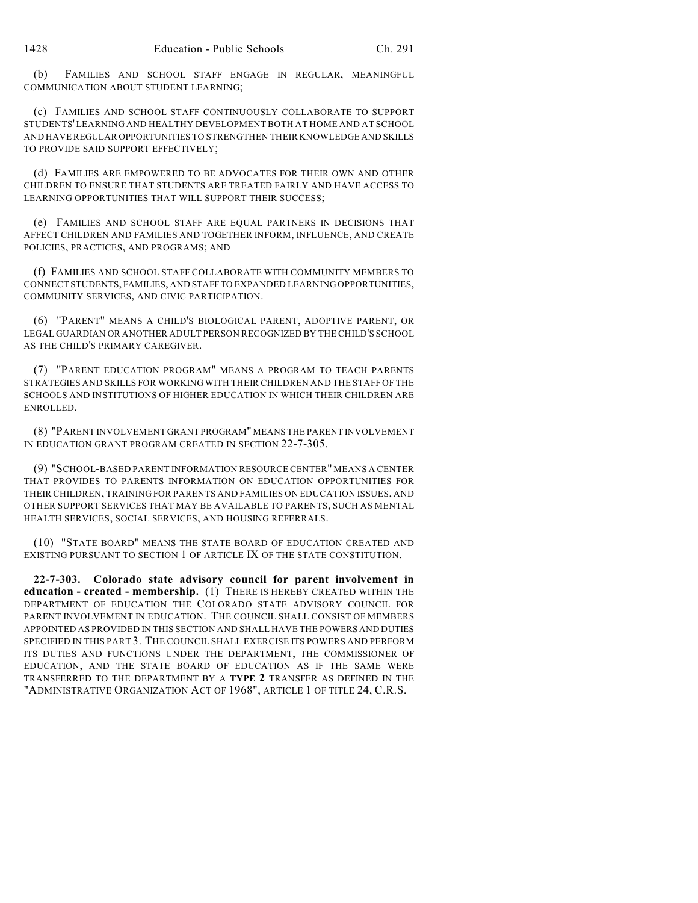(b) FAMILIES AND SCHOOL STAFF ENGAGE IN REGULAR, MEANINGFUL COMMUNICATION ABOUT STUDENT LEARNING;

(c) FAMILIES AND SCHOOL STAFF CONTINUOUSLY COLLABORATE TO SUPPORT STUDENTS' LEARNING AND HEALTHY DEVELOPMENT BOTH AT HOME AND AT SCHOOL AND HAVE REGULAR OPPORTUNITIES TO STRENGTHEN THEIR KNOWLEDGE AND SKILLS TO PROVIDE SAID SUPPORT EFFECTIVELY;

(d) FAMILIES ARE EMPOWERED TO BE ADVOCATES FOR THEIR OWN AND OTHER CHILDREN TO ENSURE THAT STUDENTS ARE TREATED FAIRLY AND HAVE ACCESS TO LEARNING OPPORTUNITIES THAT WILL SUPPORT THEIR SUCCESS;

(e) FAMILIES AND SCHOOL STAFF ARE EQUAL PARTNERS IN DECISIONS THAT AFFECT CHILDREN AND FAMILIES AND TOGETHER INFORM, INFLUENCE, AND CREATE POLICIES, PRACTICES, AND PROGRAMS; AND

(f) FAMILIES AND SCHOOL STAFF COLLABORATE WITH COMMUNITY MEMBERS TO CONNECT STUDENTS, FAMILIES, AND STAFF TO EXPANDED LEARNING OPPORTUNITIES, COMMUNITY SERVICES, AND CIVIC PARTICIPATION.

(6) "PARENT" MEANS A CHILD'S BIOLOGICAL PARENT, ADOPTIVE PARENT, OR LEGAL GUARDIAN OR ANOTHER ADULT PERSON RECOGNIZED BY THE CHILD'S SCHOOL AS THE CHILD'S PRIMARY CAREGIVER.

(7) "PARENT EDUCATION PROGRAM" MEANS A PROGRAM TO TEACH PARENTS STRATEGIES AND SKILLS FOR WORKING WITH THEIR CHILDREN AND THE STAFF OF THE SCHOOLS AND INSTITUTIONS OF HIGHER EDUCATION IN WHICH THEIR CHILDREN ARE ENROLLED.

(8) "PARENT INVOLVEMENT GRANT PROGRAM" MEANS THE PARENT INVOLVEMENT IN EDUCATION GRANT PROGRAM CREATED IN SECTION 22-7-305.

(9) "SCHOOL-BASED PARENT INFORMATION RESOURCE CENTER" MEANS A CENTER THAT PROVIDES TO PARENTS INFORMATION ON EDUCATION OPPORTUNITIES FOR THEIR CHILDREN, TRAINING FOR PARENTS AND FAMILIES ON EDUCATION ISSUES, AND OTHER SUPPORT SERVICES THAT MAY BE AVAILABLE TO PARENTS, SUCH AS MENTAL HEALTH SERVICES, SOCIAL SERVICES, AND HOUSING REFERRALS.

(10) "STATE BOARD" MEANS THE STATE BOARD OF EDUCATION CREATED AND EXISTING PURSUANT TO SECTION 1 OF ARTICLE IX OF THE STATE CONSTITUTION.

**22-7-303. Colorado state advisory council for parent involvement in education - created - membership.** (1) THERE IS HEREBY CREATED WITHIN THE DEPARTMENT OF EDUCATION THE COLORADO STATE ADVISORY COUNCIL FOR PARENT INVOLVEMENT IN EDUCATION. THE COUNCIL SHALL CONSIST OF MEMBERS APPOINTED AS PROVIDED IN THIS SECTION AND SHALL HAVE THE POWERS AND DUTIES SPECIFIED IN THIS PART 3. THE COUNCIL SHALL EXERCISE ITS POWERS AND PERFORM ITS DUTIES AND FUNCTIONS UNDER THE DEPARTMENT, THE COMMISSIONER OF EDUCATION, AND THE STATE BOARD OF EDUCATION AS IF THE SAME WERE TRANSFERRED TO THE DEPARTMENT BY A **TYPE 2** TRANSFER AS DEFINED IN THE "ADMINISTRATIVE ORGANIZATION ACT OF 1968", ARTICLE 1 OF TITLE 24, C.R.S.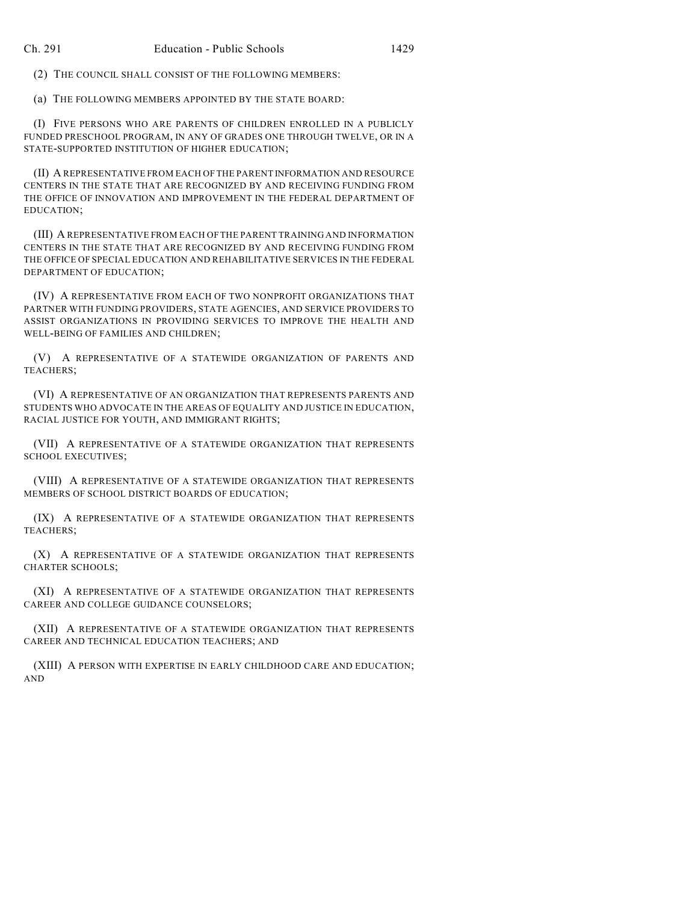(2) THE COUNCIL SHALL CONSIST OF THE FOLLOWING MEMBERS:

(a) THE FOLLOWING MEMBERS APPOINTED BY THE STATE BOARD:

(I) FIVE PERSONS WHO ARE PARENTS OF CHILDREN ENROLLED IN A PUBLICLY FUNDED PRESCHOOL PROGRAM, IN ANY OF GRADES ONE THROUGH TWELVE, OR IN A STATE-SUPPORTED INSTITUTION OF HIGHER EDUCATION;

(II) A REPRESENTATIVE FROM EACH OF THE PARENT INFORMATION AND RESOURCE CENTERS IN THE STATE THAT ARE RECOGNIZED BY AND RECEIVING FUNDING FROM THE OFFICE OF INNOVATION AND IMPROVEMENT IN THE FEDERAL DEPARTMENT OF EDUCATION;

(III) A REPRESENTATIVE FROM EACH OF THE PARENT TRAINING AND INFORMATION CENTERS IN THE STATE THAT ARE RECOGNIZED BY AND RECEIVING FUNDING FROM THE OFFICE OF SPECIAL EDUCATION AND REHABILITATIVE SERVICES IN THE FEDERAL DEPARTMENT OF EDUCATION;

(IV) A REPRESENTATIVE FROM EACH OF TWO NONPROFIT ORGANIZATIONS THAT PARTNER WITH FUNDING PROVIDERS, STATE AGENCIES, AND SERVICE PROVIDERS TO ASSIST ORGANIZATIONS IN PROVIDING SERVICES TO IMPROVE THE HEALTH AND WELL-BEING OF FAMILIES AND CHILDREN;

(V) A REPRESENTATIVE OF A STATEWIDE ORGANIZATION OF PARENTS AND TEACHERS;

(VI) A REPRESENTATIVE OF AN ORGANIZATION THAT REPRESENTS PARENTS AND STUDENTS WHO ADVOCATE IN THE AREAS OF EQUALITY AND JUSTICE IN EDUCATION, RACIAL JUSTICE FOR YOUTH, AND IMMIGRANT RIGHTS;

(VII) A REPRESENTATIVE OF A STATEWIDE ORGANIZATION THAT REPRESENTS SCHOOL EXECUTIVES;

(VIII) A REPRESENTATIVE OF A STATEWIDE ORGANIZATION THAT REPRESENTS MEMBERS OF SCHOOL DISTRICT BOARDS OF EDUCATION;

(IX) A REPRESENTATIVE OF A STATEWIDE ORGANIZATION THAT REPRESENTS TEACHERS;

(X) A REPRESENTATIVE OF A STATEWIDE ORGANIZATION THAT REPRESENTS CHARTER SCHOOLS;

(XI) A REPRESENTATIVE OF A STATEWIDE ORGANIZATION THAT REPRESENTS CAREER AND COLLEGE GUIDANCE COUNSELORS;

(XII) A REPRESENTATIVE OF A STATEWIDE ORGANIZATION THAT REPRESENTS CAREER AND TECHNICAL EDUCATION TEACHERS; AND

(XIII) A PERSON WITH EXPERTISE IN EARLY CHILDHOOD CARE AND EDUCATION; AND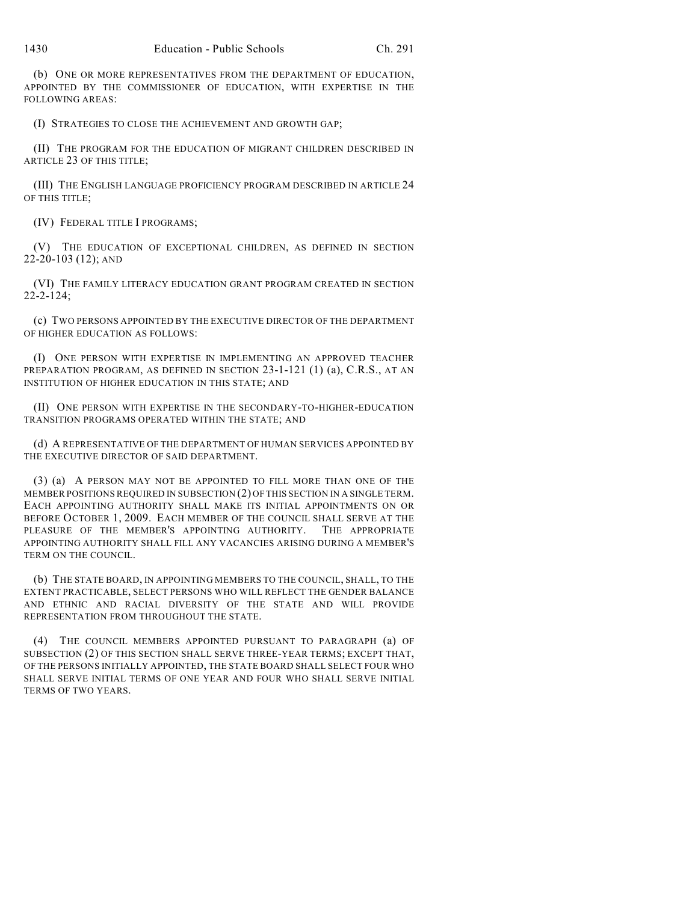(b) ONE OR MORE REPRESENTATIVES FROM THE DEPARTMENT OF EDUCATION, APPOINTED BY THE COMMISSIONER OF EDUCATION, WITH EXPERTISE IN THE FOLLOWING AREAS:

(I) STRATEGIES TO CLOSE THE ACHIEVEMENT AND GROWTH GAP;

(II) THE PROGRAM FOR THE EDUCATION OF MIGRANT CHILDREN DESCRIBED IN ARTICLE 23 OF THIS TITLE;

(III) THE ENGLISH LANGUAGE PROFICIENCY PROGRAM DESCRIBED IN ARTICLE 24 OF THIS TITLE;

(IV) FEDERAL TITLE I PROGRAMS;

(V) THE EDUCATION OF EXCEPTIONAL CHILDREN, AS DEFINED IN SECTION 22-20-103 (12); AND

(VI) THE FAMILY LITERACY EDUCATION GRANT PROGRAM CREATED IN SECTION 22-2-124;

(c) TWO PERSONS APPOINTED BY THE EXECUTIVE DIRECTOR OF THE DEPARTMENT OF HIGHER EDUCATION AS FOLLOWS:

(I) ONE PERSON WITH EXPERTISE IN IMPLEMENTING AN APPROVED TEACHER PREPARATION PROGRAM, AS DEFINED IN SECTION 23-1-121 (1) (a), C.R.S., AT AN INSTITUTION OF HIGHER EDUCATION IN THIS STATE; AND

(II) ONE PERSON WITH EXPERTISE IN THE SECONDARY-TO-HIGHER-EDUCATION TRANSITION PROGRAMS OPERATED WITHIN THE STATE; AND

(d) A REPRESENTATIVE OF THE DEPARTMENT OF HUMAN SERVICES APPOINTED BY THE EXECUTIVE DIRECTOR OF SAID DEPARTMENT.

(3) (a) A PERSON MAY NOT BE APPOINTED TO FILL MORE THAN ONE OF THE MEMBER POSITIONS REQUIRED IN SUBSECTION (2) OF THIS SECTION IN A SINGLE TERM. EACH APPOINTING AUTHORITY SHALL MAKE ITS INITIAL APPOINTMENTS ON OR BEFORE OCTOBER 1, 2009. EACH MEMBER OF THE COUNCIL SHALL SERVE AT THE PLEASURE OF THE MEMBER'S APPOINTING AUTHORITY. THE APPROPRIATE APPOINTING AUTHORITY SHALL FILL ANY VACANCIES ARISING DURING A MEMBER'S TERM ON THE COUNCIL.

(b) THE STATE BOARD, IN APPOINTING MEMBERS TO THE COUNCIL, SHALL, TO THE EXTENT PRACTICABLE, SELECT PERSONS WHO WILL REFLECT THE GENDER BALANCE AND ETHNIC AND RACIAL DIVERSITY OF THE STATE AND WILL PROVIDE REPRESENTATION FROM THROUGHOUT THE STATE.

(4) THE COUNCIL MEMBERS APPOINTED PURSUANT TO PARAGRAPH (a) OF SUBSECTION (2) OF THIS SECTION SHALL SERVE THREE-YEAR TERMS; EXCEPT THAT, OF THE PERSONS INITIALLY APPOINTED, THE STATE BOARD SHALL SELECT FOUR WHO SHALL SERVE INITIAL TERMS OF ONE YEAR AND FOUR WHO SHALL SERVE INITIAL TERMS OF TWO YEARS.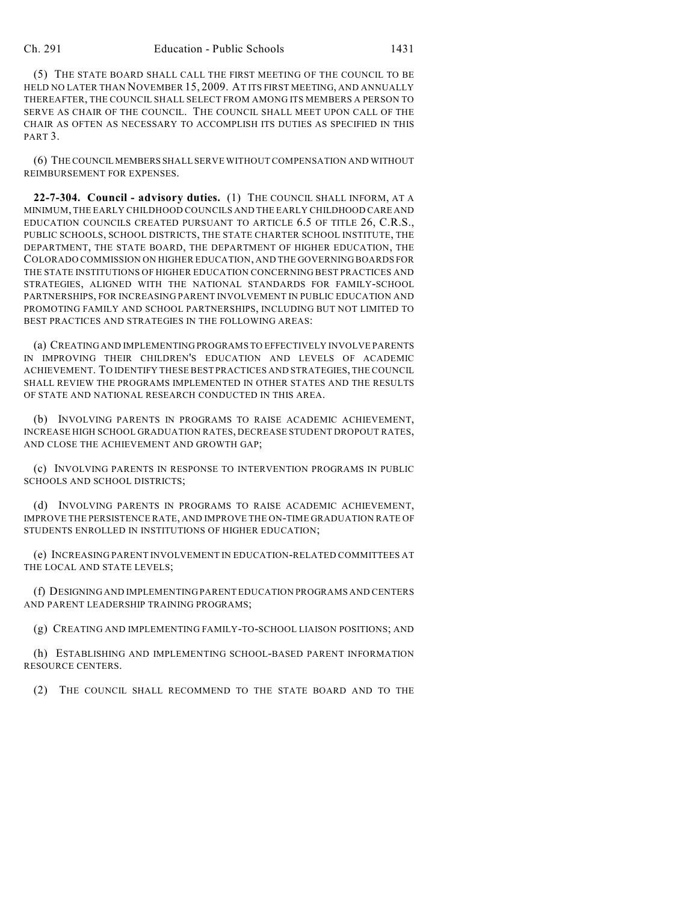(5) THE STATE BOARD SHALL CALL THE FIRST MEETING OF THE COUNCIL TO BE HELD NO LATER THAN NOVEMBER 15, 2009. AT ITS FIRST MEETING, AND ANNUALLY THEREAFTER, THE COUNCIL SHALL SELECT FROM AMONG ITS MEMBERS A PERSON TO SERVE AS CHAIR OF THE COUNCIL. THE COUNCIL SHALL MEET UPON CALL OF THE CHAIR AS OFTEN AS NECESSARY TO ACCOMPLISH ITS DUTIES AS SPECIFIED IN THIS PART<sub>3</sub>.

(6) THE COUNCIL MEMBERS SHALL SERVE WITHOUT COMPENSATION AND WITHOUT REIMBURSEMENT FOR EXPENSES.

**22-7-304. Council - advisory duties.** (1) THE COUNCIL SHALL INFORM, AT A MINIMUM, THE EARLY CHILDHOOD COUNCILS AND THE EARLY CHILDHOOD CARE AND EDUCATION COUNCILS CREATED PURSUANT TO ARTICLE 6.5 OF TITLE 26, C.R.S., PUBLIC SCHOOLS, SCHOOL DISTRICTS, THE STATE CHARTER SCHOOL INSTITUTE, THE DEPARTMENT, THE STATE BOARD, THE DEPARTMENT OF HIGHER EDUCATION, THE COLORADO COMMISSION ON HIGHER EDUCATION, AND THE GOVERNING BOARDS FOR THE STATE INSTITUTIONS OF HIGHER EDUCATION CONCERNING BEST PRACTICES AND STRATEGIES, ALIGNED WITH THE NATIONAL STANDARDS FOR FAMILY-SCHOOL PARTNERSHIPS, FOR INCREASING PARENT INVOLVEMENT IN PUBLIC EDUCATION AND PROMOTING FAMILY AND SCHOOL PARTNERSHIPS, INCLUDING BUT NOT LIMITED TO BEST PRACTICES AND STRATEGIES IN THE FOLLOWING AREAS:

(a) CREATING AND IMPLEMENTING PROGRAMS TO EFFECTIVELY INVOLVE PARENTS IN IMPROVING THEIR CHILDREN'S EDUCATION AND LEVELS OF ACADEMIC ACHIEVEMENT. TO IDENTIFY THESE BEST PRACTICES AND STRATEGIES, THE COUNCIL SHALL REVIEW THE PROGRAMS IMPLEMENTED IN OTHER STATES AND THE RESULTS OF STATE AND NATIONAL RESEARCH CONDUCTED IN THIS AREA.

(b) INVOLVING PARENTS IN PROGRAMS TO RAISE ACADEMIC ACHIEVEMENT, INCREASE HIGH SCHOOL GRADUATION RATES, DECREASE STUDENT DROPOUT RATES, AND CLOSE THE ACHIEVEMENT AND GROWTH GAP;

(c) INVOLVING PARENTS IN RESPONSE TO INTERVENTION PROGRAMS IN PUBLIC SCHOOLS AND SCHOOL DISTRICTS;

(d) INVOLVING PARENTS IN PROGRAMS TO RAISE ACADEMIC ACHIEVEMENT, IMPROVE THE PERSISTENCE RATE, AND IMPROVE THE ON-TIME GRADUATION RATE OF STUDENTS ENROLLED IN INSTITUTIONS OF HIGHER EDUCATION;

(e) INCREASING PARENT INVOLVEMENT IN EDUCATION-RELATED COMMITTEES AT THE LOCAL AND STATE LEVELS;

(f) DESIGNING AND IMPLEMENTING PARENT EDUCATION PROGRAMS AND CENTERS AND PARENT LEADERSHIP TRAINING PROGRAMS;

(g) CREATING AND IMPLEMENTING FAMILY-TO-SCHOOL LIAISON POSITIONS; AND

(h) ESTABLISHING AND IMPLEMENTING SCHOOL-BASED PARENT INFORMATION RESOURCE CENTERS.

(2) THE COUNCIL SHALL RECOMMEND TO THE STATE BOARD AND TO THE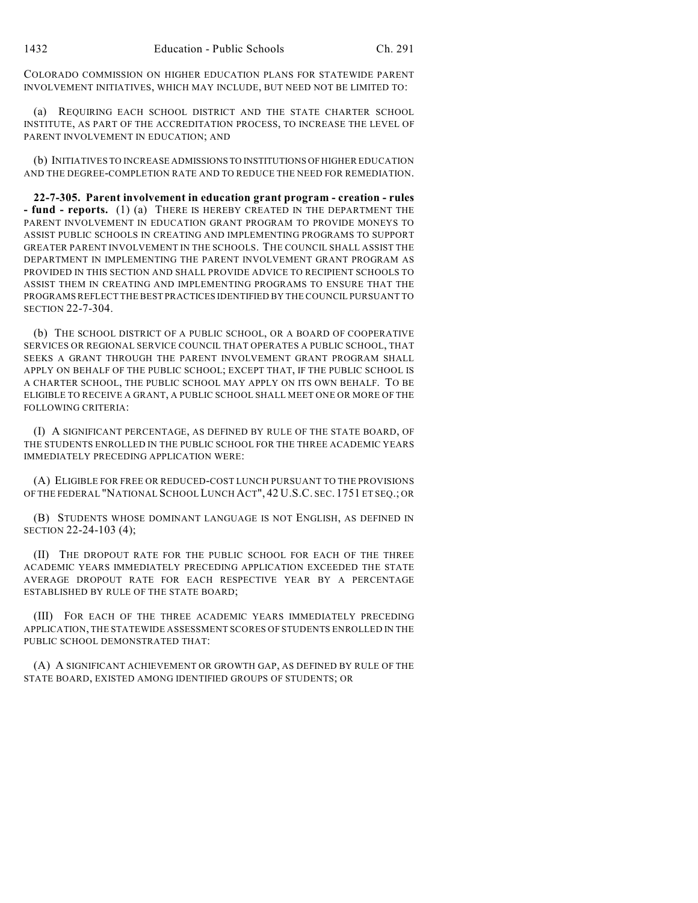COLORADO COMMISSION ON HIGHER EDUCATION PLANS FOR STATEWIDE PARENT INVOLVEMENT INITIATIVES, WHICH MAY INCLUDE, BUT NEED NOT BE LIMITED TO:

(a) REQUIRING EACH SCHOOL DISTRICT AND THE STATE CHARTER SCHOOL INSTITUTE, AS PART OF THE ACCREDITATION PROCESS, TO INCREASE THE LEVEL OF PARENT INVOLVEMENT IN EDUCATION; AND

(b) INITIATIVES TO INCREASE ADMISSIONS TO INSTITUTIONS OF HIGHER EDUCATION AND THE DEGREE-COMPLETION RATE AND TO REDUCE THE NEED FOR REMEDIATION.

**22-7-305. Parent involvement in education grant program - creation - rules - fund - reports.** (1) (a) THERE IS HEREBY CREATED IN THE DEPARTMENT THE PARENT INVOLVEMENT IN EDUCATION GRANT PROGRAM TO PROVIDE MONEYS TO ASSIST PUBLIC SCHOOLS IN CREATING AND IMPLEMENTING PROGRAMS TO SUPPORT GREATER PARENT INVOLVEMENT IN THE SCHOOLS. THE COUNCIL SHALL ASSIST THE DEPARTMENT IN IMPLEMENTING THE PARENT INVOLVEMENT GRANT PROGRAM AS PROVIDED IN THIS SECTION AND SHALL PROVIDE ADVICE TO RECIPIENT SCHOOLS TO ASSIST THEM IN CREATING AND IMPLEMENTING PROGRAMS TO ENSURE THAT THE PROGRAMS REFLECT THE BEST PRACTICES IDENTIFIED BY THE COUNCIL PURSUANT TO SECTION 22-7-304.

(b) THE SCHOOL DISTRICT OF A PUBLIC SCHOOL, OR A BOARD OF COOPERATIVE SERVICES OR REGIONAL SERVICE COUNCIL THAT OPERATES A PUBLIC SCHOOL, THAT SEEKS A GRANT THROUGH THE PARENT INVOLVEMENT GRANT PROGRAM SHALL APPLY ON BEHALF OF THE PUBLIC SCHOOL; EXCEPT THAT, IF THE PUBLIC SCHOOL IS A CHARTER SCHOOL, THE PUBLIC SCHOOL MAY APPLY ON ITS OWN BEHALF. TO BE ELIGIBLE TO RECEIVE A GRANT, A PUBLIC SCHOOL SHALL MEET ONE OR MORE OF THE FOLLOWING CRITERIA:

(I) A SIGNIFICANT PERCENTAGE, AS DEFINED BY RULE OF THE STATE BOARD, OF THE STUDENTS ENROLLED IN THE PUBLIC SCHOOL FOR THE THREE ACADEMIC YEARS IMMEDIATELY PRECEDING APPLICATION WERE:

(A) ELIGIBLE FOR FREE OR REDUCED-COST LUNCH PURSUANT TO THE PROVISIONS OF THE FEDERAL "NATIONAL SCHOOL LUNCH ACT", 42 U.S.C. SEC. 1751 ET SEQ.; OR

(B) STUDENTS WHOSE DOMINANT LANGUAGE IS NOT ENGLISH, AS DEFINED IN SECTION 22-24-103 (4);

(II) THE DROPOUT RATE FOR THE PUBLIC SCHOOL FOR EACH OF THE THREE ACADEMIC YEARS IMMEDIATELY PRECEDING APPLICATION EXCEEDED THE STATE AVERAGE DROPOUT RATE FOR EACH RESPECTIVE YEAR BY A PERCENTAGE ESTABLISHED BY RULE OF THE STATE BOARD;

(III) FOR EACH OF THE THREE ACADEMIC YEARS IMMEDIATELY PRECEDING APPLICATION, THE STATEWIDE ASSESSMENT SCORES OF STUDENTS ENROLLED IN THE PUBLIC SCHOOL DEMONSTRATED THAT:

(A) A SIGNIFICANT ACHIEVEMENT OR GROWTH GAP, AS DEFINED BY RULE OF THE STATE BOARD, EXISTED AMONG IDENTIFIED GROUPS OF STUDENTS; OR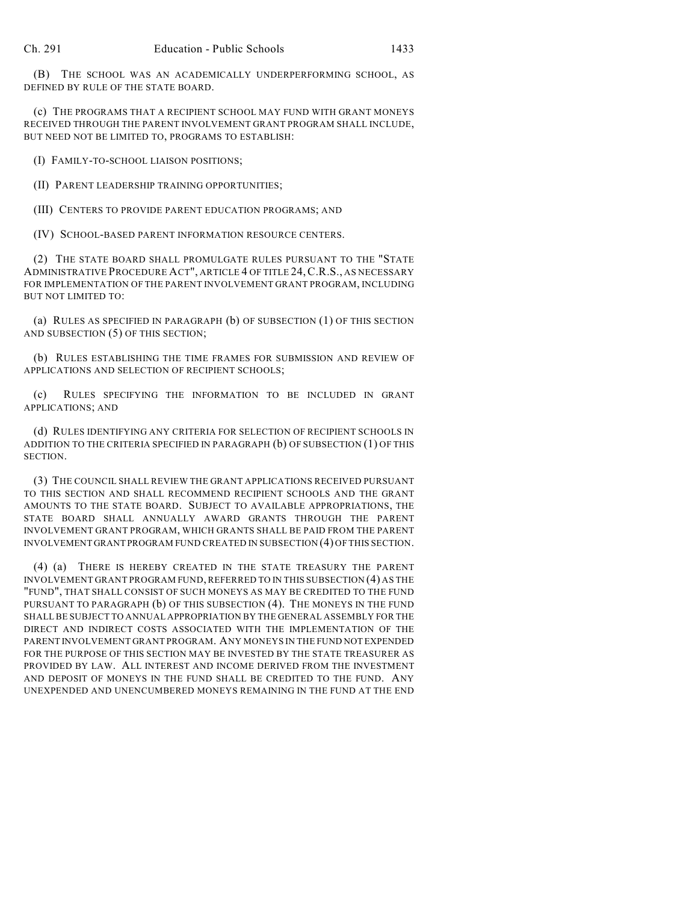(B) THE SCHOOL WAS AN ACADEMICALLY UNDERPERFORMING SCHOOL, AS DEFINED BY RULE OF THE STATE BOARD.

(c) THE PROGRAMS THAT A RECIPIENT SCHOOL MAY FUND WITH GRANT MONEYS RECEIVED THROUGH THE PARENT INVOLVEMENT GRANT PROGRAM SHALL INCLUDE, BUT NEED NOT BE LIMITED TO, PROGRAMS TO ESTABLISH:

(I) FAMILY-TO-SCHOOL LIAISON POSITIONS;

(II) PARENT LEADERSHIP TRAINING OPPORTUNITIES;

(III) CENTERS TO PROVIDE PARENT EDUCATION PROGRAMS; AND

(IV) SCHOOL-BASED PARENT INFORMATION RESOURCE CENTERS.

(2) THE STATE BOARD SHALL PROMULGATE RULES PURSUANT TO THE "STATE ADMINISTRATIVE PROCEDURE ACT", ARTICLE 4 OF TITLE 24,C.R.S., AS NECESSARY FOR IMPLEMENTATION OF THE PARENT INVOLVEMENT GRANT PROGRAM, INCLUDING BUT NOT LIMITED TO:

(a) RULES AS SPECIFIED IN PARAGRAPH (b) OF SUBSECTION (1) OF THIS SECTION AND SUBSECTION (5) OF THIS SECTION;

(b) RULES ESTABLISHING THE TIME FRAMES FOR SUBMISSION AND REVIEW OF APPLICATIONS AND SELECTION OF RECIPIENT SCHOOLS;

(c) RULES SPECIFYING THE INFORMATION TO BE INCLUDED IN GRANT APPLICATIONS; AND

(d) RULES IDENTIFYING ANY CRITERIA FOR SELECTION OF RECIPIENT SCHOOLS IN ADDITION TO THE CRITERIA SPECIFIED IN PARAGRAPH (b) OF SUBSECTION (1) OF THIS SECTION.

(3) THE COUNCIL SHALL REVIEW THE GRANT APPLICATIONS RECEIVED PURSUANT TO THIS SECTION AND SHALL RECOMMEND RECIPIENT SCHOOLS AND THE GRANT AMOUNTS TO THE STATE BOARD. SUBJECT TO AVAILABLE APPROPRIATIONS, THE STATE BOARD SHALL ANNUALLY AWARD GRANTS THROUGH THE PARENT INVOLVEMENT GRANT PROGRAM, WHICH GRANTS SHALL BE PAID FROM THE PARENT INVOLVEMENT GRANT PROGRAM FUND CREATED IN SUBSECTION (4) OF THIS SECTION.

(4) (a) THERE IS HEREBY CREATED IN THE STATE TREASURY THE PARENT INVOLVEMENT GRANT PROGRAM FUND, REFERRED TO IN THIS SUBSECTION (4) AS THE "FUND", THAT SHALL CONSIST OF SUCH MONEYS AS MAY BE CREDITED TO THE FUND PURSUANT TO PARAGRAPH (b) OF THIS SUBSECTION (4). THE MONEYS IN THE FUND SHALL BE SUBJECT TO ANNUAL APPROPRIATION BY THE GENERAL ASSEMBLY FOR THE DIRECT AND INDIRECT COSTS ASSOCIATED WITH THE IMPLEMENTATION OF THE PARENT INVOLVEMENT GRANT PROGRAM. ANY MONEYS IN THE FUND NOT EXPENDED FOR THE PURPOSE OF THIS SECTION MAY BE INVESTED BY THE STATE TREASURER AS PROVIDED BY LAW. ALL INTEREST AND INCOME DERIVED FROM THE INVESTMENT AND DEPOSIT OF MONEYS IN THE FUND SHALL BE CREDITED TO THE FUND. ANY UNEXPENDED AND UNENCUMBERED MONEYS REMAINING IN THE FUND AT THE END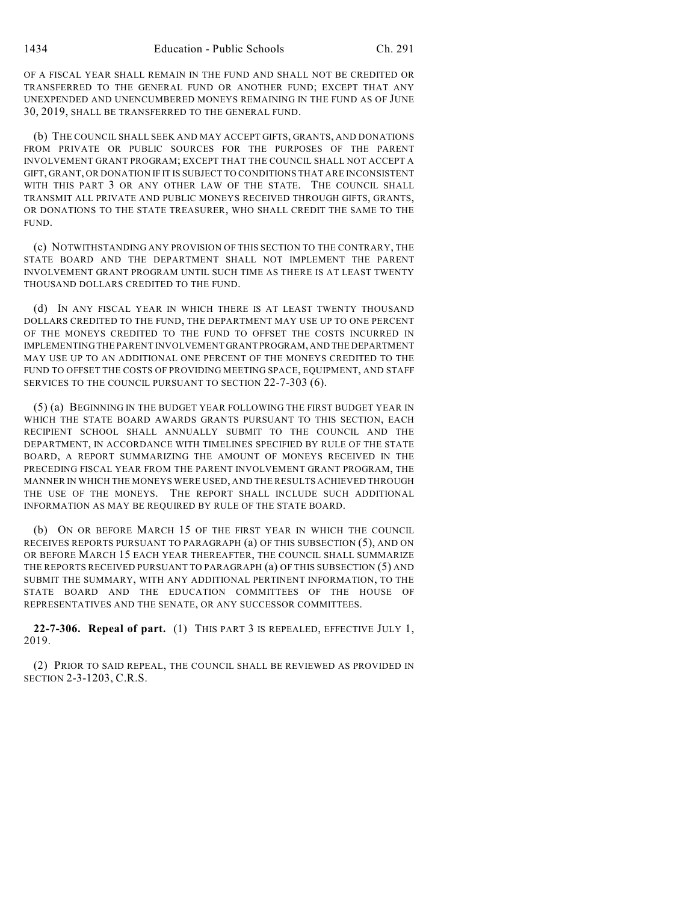OF A FISCAL YEAR SHALL REMAIN IN THE FUND AND SHALL NOT BE CREDITED OR TRANSFERRED TO THE GENERAL FUND OR ANOTHER FUND; EXCEPT THAT ANY UNEXPENDED AND UNENCUMBERED MONEYS REMAINING IN THE FUND AS OF JUNE 30, 2019, SHALL BE TRANSFERRED TO THE GENERAL FUND.

(b) THE COUNCIL SHALL SEEK AND MAY ACCEPT GIFTS, GRANTS, AND DONATIONS FROM PRIVATE OR PUBLIC SOURCES FOR THE PURPOSES OF THE PARENT INVOLVEMENT GRANT PROGRAM; EXCEPT THAT THE COUNCIL SHALL NOT ACCEPT A GIFT, GRANT, OR DONATION IF IT IS SUBJECT TO CONDITIONS THAT ARE INCONSISTENT WITH THIS PART 3 OR ANY OTHER LAW OF THE STATE. THE COUNCIL SHALL TRANSMIT ALL PRIVATE AND PUBLIC MONEYS RECEIVED THROUGH GIFTS, GRANTS, OR DONATIONS TO THE STATE TREASURER, WHO SHALL CREDIT THE SAME TO THE FUND.

(c) NOTWITHSTANDING ANY PROVISION OF THIS SECTION TO THE CONTRARY, THE STATE BOARD AND THE DEPARTMENT SHALL NOT IMPLEMENT THE PARENT INVOLVEMENT GRANT PROGRAM UNTIL SUCH TIME AS THERE IS AT LEAST TWENTY THOUSAND DOLLARS CREDITED TO THE FUND.

(d) IN ANY FISCAL YEAR IN WHICH THERE IS AT LEAST TWENTY THOUSAND DOLLARS CREDITED TO THE FUND, THE DEPARTMENT MAY USE UP TO ONE PERCENT OF THE MONEYS CREDITED TO THE FUND TO OFFSET THE COSTS INCURRED IN IMPLEMENTING THE PARENT INVOLVEMENT GRANT PROGRAM, AND THE DEPARTMENT MAY USE UP TO AN ADDITIONAL ONE PERCENT OF THE MONEYS CREDITED TO THE FUND TO OFFSET THE COSTS OF PROVIDING MEETING SPACE, EQUIPMENT, AND STAFF SERVICES TO THE COUNCIL PURSUANT TO SECTION 22-7-303 (6).

(5) (a) BEGINNING IN THE BUDGET YEAR FOLLOWING THE FIRST BUDGET YEAR IN WHICH THE STATE BOARD AWARDS GRANTS PURSUANT TO THIS SECTION, EACH RECIPIENT SCHOOL SHALL ANNUALLY SUBMIT TO THE COUNCIL AND THE DEPARTMENT, IN ACCORDANCE WITH TIMELINES SPECIFIED BY RULE OF THE STATE BOARD, A REPORT SUMMARIZING THE AMOUNT OF MONEYS RECEIVED IN THE PRECEDING FISCAL YEAR FROM THE PARENT INVOLVEMENT GRANT PROGRAM, THE MANNER IN WHICH THE MONEYS WERE USED, AND THE RESULTS ACHIEVED THROUGH THE USE OF THE MONEYS. THE REPORT SHALL INCLUDE SUCH ADDITIONAL INFORMATION AS MAY BE REQUIRED BY RULE OF THE STATE BOARD.

(b) ON OR BEFORE MARCH 15 OF THE FIRST YEAR IN WHICH THE COUNCIL RECEIVES REPORTS PURSUANT TO PARAGRAPH (a) OF THIS SUBSECTION (5), AND ON OR BEFORE MARCH 15 EACH YEAR THEREAFTER, THE COUNCIL SHALL SUMMARIZE THE REPORTS RECEIVED PURSUANT TO PARAGRAPH (a) OF THIS SUBSECTION (5) AND SUBMIT THE SUMMARY, WITH ANY ADDITIONAL PERTINENT INFORMATION, TO THE STATE BOARD AND THE EDUCATION COMMITTEES OF THE HOUSE OF REPRESENTATIVES AND THE SENATE, OR ANY SUCCESSOR COMMITTEES.

**22-7-306. Repeal of part.** (1) THIS PART 3 IS REPEALED, EFFECTIVE JULY 1, 2019.

(2) PRIOR TO SAID REPEAL, THE COUNCIL SHALL BE REVIEWED AS PROVIDED IN SECTION 2-3-1203, C.R.S.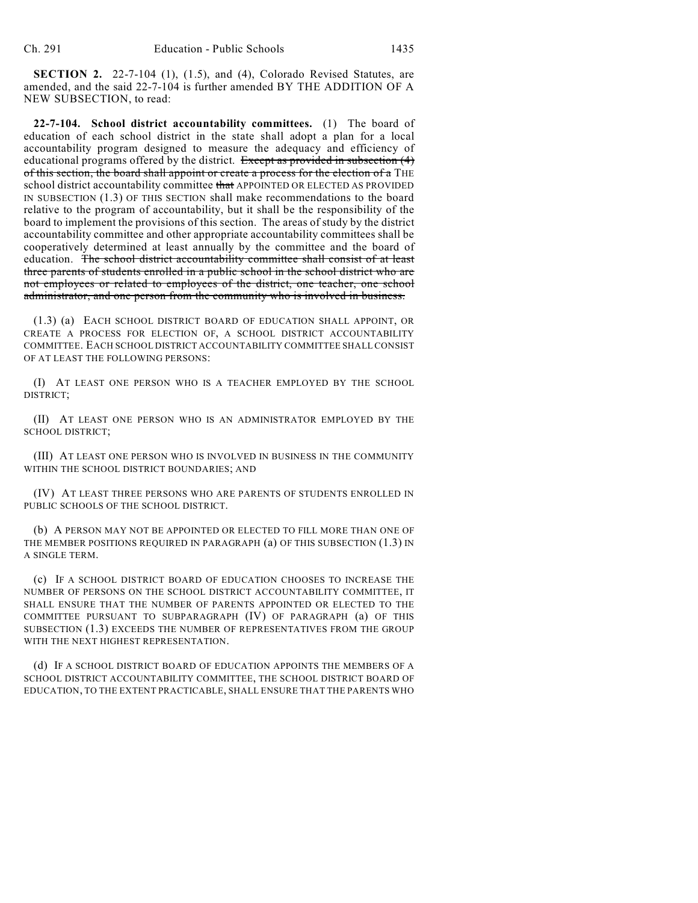**SECTION 2.** 22-7-104 (1), (1.5), and (4), Colorado Revised Statutes, are amended, and the said 22-7-104 is further amended BY THE ADDITION OF A NEW SUBSECTION, to read:

**22-7-104. School district accountability committees.** (1) The board of education of each school district in the state shall adopt a plan for a local accountability program designed to measure the adequacy and efficiency of educational programs offered by the district. Except as provided in subsection (4) of this section, the board shall appoint or create a process for the election of a THE school district accountability committee that APPOINTED OR ELECTED AS PROVIDED IN SUBSECTION (1.3) OF THIS SECTION shall make recommendations to the board relative to the program of accountability, but it shall be the responsibility of the board to implement the provisions of this section. The areas of study by the district accountability committee and other appropriate accountability committees shall be cooperatively determined at least annually by the committee and the board of education. The school district accountability committee shall consist of at least three parents of students enrolled in a public school in the school district who are not employees or related to employees of the district, one teacher, one school administrator, and one person from the community who is involved in business.

(1.3) (a) EACH SCHOOL DISTRICT BOARD OF EDUCATION SHALL APPOINT, OR CREATE A PROCESS FOR ELECTION OF, A SCHOOL DISTRICT ACCOUNTABILITY COMMITTEE. EACH SCHOOL DISTRICT ACCOUNTABILITY COMMITTEE SHALL CONSIST OF AT LEAST THE FOLLOWING PERSONS:

(I) AT LEAST ONE PERSON WHO IS A TEACHER EMPLOYED BY THE SCHOOL DISTRICT;

(II) AT LEAST ONE PERSON WHO IS AN ADMINISTRATOR EMPLOYED BY THE SCHOOL DISTRICT;

(III) AT LEAST ONE PERSON WHO IS INVOLVED IN BUSINESS IN THE COMMUNITY WITHIN THE SCHOOL DISTRICT BOUNDARIES; AND

(IV) AT LEAST THREE PERSONS WHO ARE PARENTS OF STUDENTS ENROLLED IN PUBLIC SCHOOLS OF THE SCHOOL DISTRICT.

(b) A PERSON MAY NOT BE APPOINTED OR ELECTED TO FILL MORE THAN ONE OF THE MEMBER POSITIONS REQUIRED IN PARAGRAPH (a) OF THIS SUBSECTION (1.3) IN A SINGLE TERM.

(c) IF A SCHOOL DISTRICT BOARD OF EDUCATION CHOOSES TO INCREASE THE NUMBER OF PERSONS ON THE SCHOOL DISTRICT ACCOUNTABILITY COMMITTEE, IT SHALL ENSURE THAT THE NUMBER OF PARENTS APPOINTED OR ELECTED TO THE COMMITTEE PURSUANT TO SUBPARAGRAPH (IV) OF PARAGRAPH (a) OF THIS SUBSECTION (1.3) EXCEEDS THE NUMBER OF REPRESENTATIVES FROM THE GROUP WITH THE NEXT HIGHEST REPRESENTATION.

(d) IF A SCHOOL DISTRICT BOARD OF EDUCATION APPOINTS THE MEMBERS OF A SCHOOL DISTRICT ACCOUNTABILITY COMMITTEE, THE SCHOOL DISTRICT BOARD OF EDUCATION, TO THE EXTENT PRACTICABLE, SHALL ENSURE THAT THE PARENTS WHO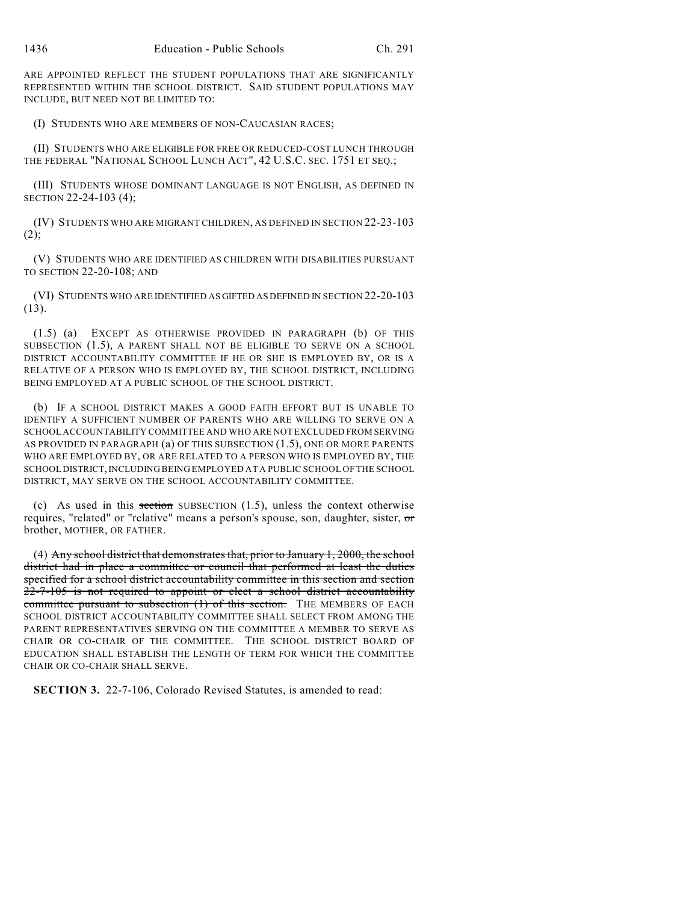ARE APPOINTED REFLECT THE STUDENT POPULATIONS THAT ARE SIGNIFICANTLY REPRESENTED WITHIN THE SCHOOL DISTRICT. SAID STUDENT POPULATIONS MAY INCLUDE, BUT NEED NOT BE LIMITED TO:

(I) STUDENTS WHO ARE MEMBERS OF NON-CAUCASIAN RACES;

(II) STUDENTS WHO ARE ELIGIBLE FOR FREE OR REDUCED-COST LUNCH THROUGH THE FEDERAL "NATIONAL SCHOOL LUNCH ACT", 42 U.S.C. SEC. 1751 ET SEQ.;

(III) STUDENTS WHOSE DOMINANT LANGUAGE IS NOT ENGLISH, AS DEFINED IN SECTION 22-24-103 (4);

(IV) STUDENTS WHO ARE MIGRANT CHILDREN, AS DEFINED IN SECTION 22-23-103  $(2);$ 

(V) STUDENTS WHO ARE IDENTIFIED AS CHILDREN WITH DISABILITIES PURSUANT TO SECTION 22-20-108; AND

(VI) STUDENTS WHO ARE IDENTIFIED AS GIFTED AS DEFINED IN SECTION 22-20-103 (13).

(1.5) (a) EXCEPT AS OTHERWISE PROVIDED IN PARAGRAPH (b) OF THIS SUBSECTION (1.5), A PARENT SHALL NOT BE ELIGIBLE TO SERVE ON A SCHOOL DISTRICT ACCOUNTABILITY COMMITTEE IF HE OR SHE IS EMPLOYED BY, OR IS A RELATIVE OF A PERSON WHO IS EMPLOYED BY, THE SCHOOL DISTRICT, INCLUDING BEING EMPLOYED AT A PUBLIC SCHOOL OF THE SCHOOL DISTRICT.

(b) IF A SCHOOL DISTRICT MAKES A GOOD FAITH EFFORT BUT IS UNABLE TO IDENTIFY A SUFFICIENT NUMBER OF PARENTS WHO ARE WILLING TO SERVE ON A SCHOOL ACCOUNTABILITY COMMITTEE AND WHO ARE NOT EXCLUDED FROM SERVING AS PROVIDED IN PARAGRAPH (a) OF THIS SUBSECTION (1.5), ONE OR MORE PARENTS WHO ARE EMPLOYED BY, OR ARE RELATED TO A PERSON WHO IS EMPLOYED BY, THE SCHOOL DISTRICT, INCLUDING BEING EMPLOYED AT A PUBLIC SCHOOL OF THE SCHOOL DISTRICT, MAY SERVE ON THE SCHOOL ACCOUNTABILITY COMMITTEE.

(c) As used in this section SUBSECTION  $(1.5)$ , unless the context otherwise requires, "related" or "relative" means a person's spouse, son, daughter, sister, or brother, MOTHER, OR FATHER.

(4) Any school district that demonstrates that, prior to January 1, 2000, the school district had in place a committee or council that performed at least the duties specified for a school district accountability committee in this section and section 22-7-105 is not required to appoint or elect a school district accountability committee pursuant to subsection (1) of this section. THE MEMBERS OF EACH SCHOOL DISTRICT ACCOUNTABILITY COMMITTEE SHALL SELECT FROM AMONG THE PARENT REPRESENTATIVES SERVING ON THE COMMITTEE A MEMBER TO SERVE AS CHAIR OR CO-CHAIR OF THE COMMITTEE. THE SCHOOL DISTRICT BOARD OF EDUCATION SHALL ESTABLISH THE LENGTH OF TERM FOR WHICH THE COMMITTEE CHAIR OR CO-CHAIR SHALL SERVE.

**SECTION 3.** 22-7-106, Colorado Revised Statutes, is amended to read: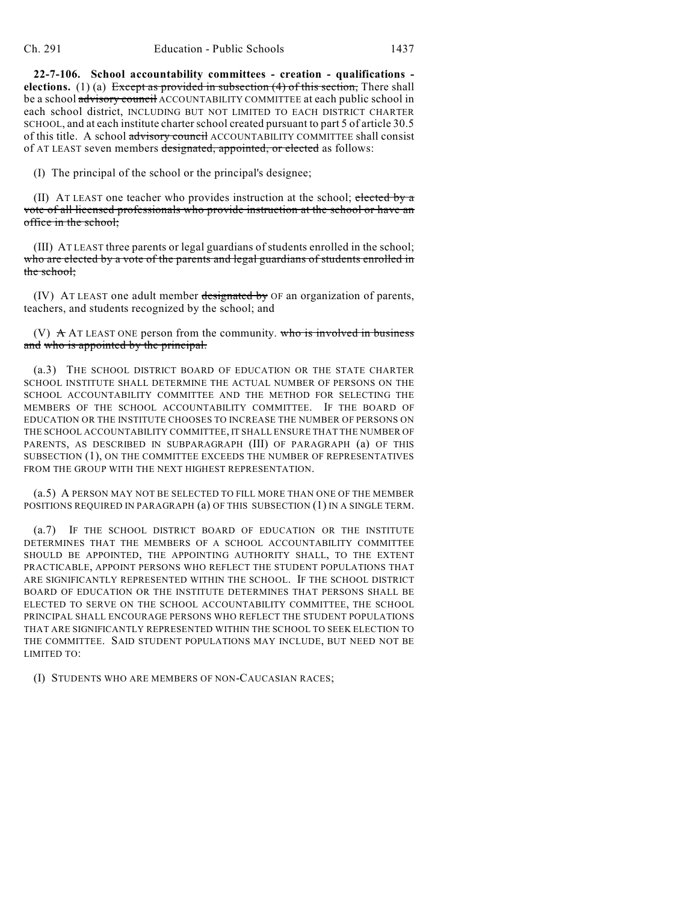**22-7-106. School accountability committees - creation - qualifications elections.** (1) (a) Except as provided in subsection (4) of this section, There shall be a school advisory council ACCOUNTABILITY COMMITTEE at each public school in each school district, INCLUDING BUT NOT LIMITED TO EACH DISTRICT CHARTER SCHOOL, and at each institute charter school created pursuant to part 5 of article 30.5 of this title. A school advisory council ACCOUNTABILITY COMMITTEE shall consist of AT LEAST seven members designated, appointed, or elected as follows:

(I) The principal of the school or the principal's designee;

(II) AT LEAST one teacher who provides instruction at the school; elected by a vote of all licensed professionals who provide instruction at the school or have an office in the school;

(III) AT LEAST three parents or legal guardians of students enrolled in the school; who are elected by a vote of the parents and legal guardians of students enrolled in the school;

(IV) AT LEAST one adult member designated by OF an organization of parents, teachers, and students recognized by the school; and

(V)  $\pm$  AT LEAST ONE person from the community. who is involved in business and who is appointed by the principal.

(a.3) THE SCHOOL DISTRICT BOARD OF EDUCATION OR THE STATE CHARTER SCHOOL INSTITUTE SHALL DETERMINE THE ACTUAL NUMBER OF PERSONS ON THE SCHOOL ACCOUNTABILITY COMMITTEE AND THE METHOD FOR SELECTING THE MEMBERS OF THE SCHOOL ACCOUNTABILITY COMMITTEE. IF THE BOARD OF EDUCATION OR THE INSTITUTE CHOOSES TO INCREASE THE NUMBER OF PERSONS ON THE SCHOOL ACCOUNTABILITY COMMITTEE, IT SHALL ENSURE THAT THE NUMBER OF PARENTS, AS DESCRIBED IN SUBPARAGRAPH (III) OF PARAGRAPH (a) OF THIS SUBSECTION (1), ON THE COMMITTEE EXCEEDS THE NUMBER OF REPRESENTATIVES FROM THE GROUP WITH THE NEXT HIGHEST REPRESENTATION.

(a.5) A PERSON MAY NOT BE SELECTED TO FILL MORE THAN ONE OF THE MEMBER POSITIONS REQUIRED IN PARAGRAPH (a) OF THIS SUBSECTION (1) IN A SINGLE TERM.

(a.7) IF THE SCHOOL DISTRICT BOARD OF EDUCATION OR THE INSTITUTE DETERMINES THAT THE MEMBERS OF A SCHOOL ACCOUNTABILITY COMMITTEE SHOULD BE APPOINTED, THE APPOINTING AUTHORITY SHALL, TO THE EXTENT PRACTICABLE, APPOINT PERSONS WHO REFLECT THE STUDENT POPULATIONS THAT ARE SIGNIFICANTLY REPRESENTED WITHIN THE SCHOOL. IF THE SCHOOL DISTRICT BOARD OF EDUCATION OR THE INSTITUTE DETERMINES THAT PERSONS SHALL BE ELECTED TO SERVE ON THE SCHOOL ACCOUNTABILITY COMMITTEE, THE SCHOOL PRINCIPAL SHALL ENCOURAGE PERSONS WHO REFLECT THE STUDENT POPULATIONS THAT ARE SIGNIFICANTLY REPRESENTED WITHIN THE SCHOOL TO SEEK ELECTION TO THE COMMITTEE. SAID STUDENT POPULATIONS MAY INCLUDE, BUT NEED NOT BE LIMITED TO:

(I) STUDENTS WHO ARE MEMBERS OF NON-CAUCASIAN RACES;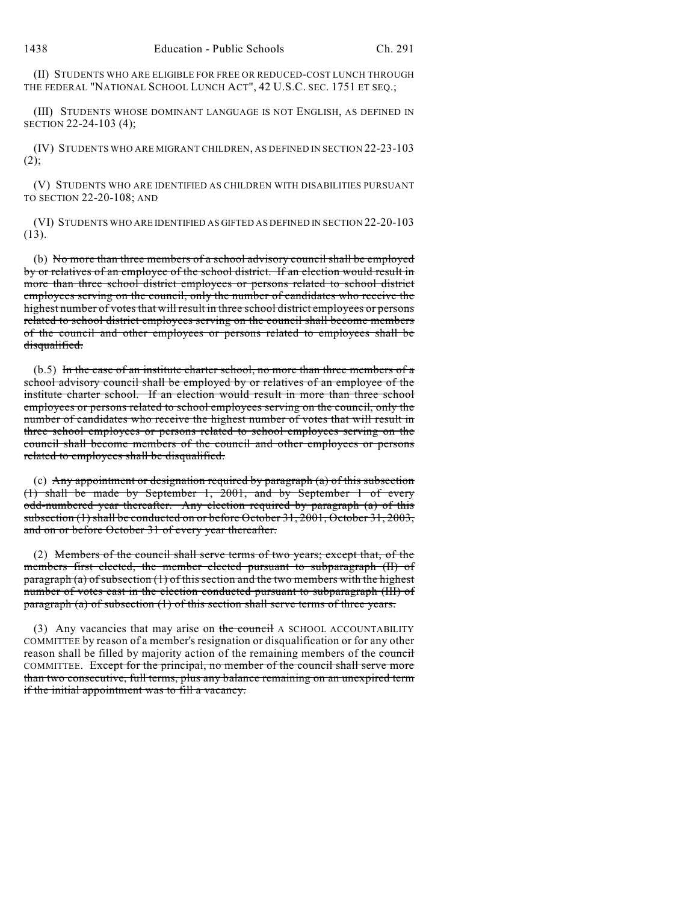(II) STUDENTS WHO ARE ELIGIBLE FOR FREE OR REDUCED-COST LUNCH THROUGH THE FEDERAL "NATIONAL SCHOOL LUNCH ACT", 42 U.S.C. SEC. 1751 ET SEQ.;

(III) STUDENTS WHOSE DOMINANT LANGUAGE IS NOT ENGLISH, AS DEFINED IN SECTION 22-24-103 (4);

(IV) STUDENTS WHO ARE MIGRANT CHILDREN, AS DEFINED IN SECTION 22-23-103  $(2)$ ;

(V) STUDENTS WHO ARE IDENTIFIED AS CHILDREN WITH DISABILITIES PURSUANT TO SECTION 22-20-108; AND

(VI) STUDENTS WHO ARE IDENTIFIED AS GIFTED AS DEFINED IN SECTION 22-20-103 (13).

(b) No more than three members of a school advisory council shall be employed by or relatives of an employee of the school district. If an election would result in more than three school district employees or persons related to school district employees serving on the council, only the number of candidates who receive the highest number of votes that will result in three school district employees or persons related to school district employees serving on the council shall become members of the council and other employees or persons related to employees shall be disqualified.

 $(b.5)$  In the case of an institute charter school, no more than three members of a school advisory council shall be employed by or relatives of an employee of the institute charter school. If an election would result in more than three school employees or persons related to school employees serving on the council, only the number of candidates who receive the highest number of votes that will result in three school employees or persons related to school employees serving on the council shall become members of the council and other employees or persons related to employees shall be disqualified.

(c) Any appointment or designation required by paragraph  $(a)$  of this subsection (1) shall be made by September 1, 2001, and by September 1 of every odd-numbered year thereafter. Any election required by paragraph (a) of this subsection (1) shall be conducted on or before October 31, 2001, October 31, 2003, and on or before October 31 of every year thereafter.

(2) Members of the council shall serve terms of two years; except that, of the members first elected, the member elected pursuant to subparagraph (II) of paragraph (a) of subsection (1) of this section and the two members with the highest number of votes cast in the election conducted pursuant to subparagraph (III) of paragraph (a) of subsection (1) of this section shall serve terms of three years.

(3) Any vacancies that may arise on the council A SCHOOL ACCOUNTABILITY COMMITTEE by reason of a member's resignation or disqualification or for any other reason shall be filled by majority action of the remaining members of the council COMMITTEE. Except for the principal, no member of the council shall serve more than two consecutive, full terms, plus any balance remaining on an unexpired term if the initial appointment was to fill a vacancy.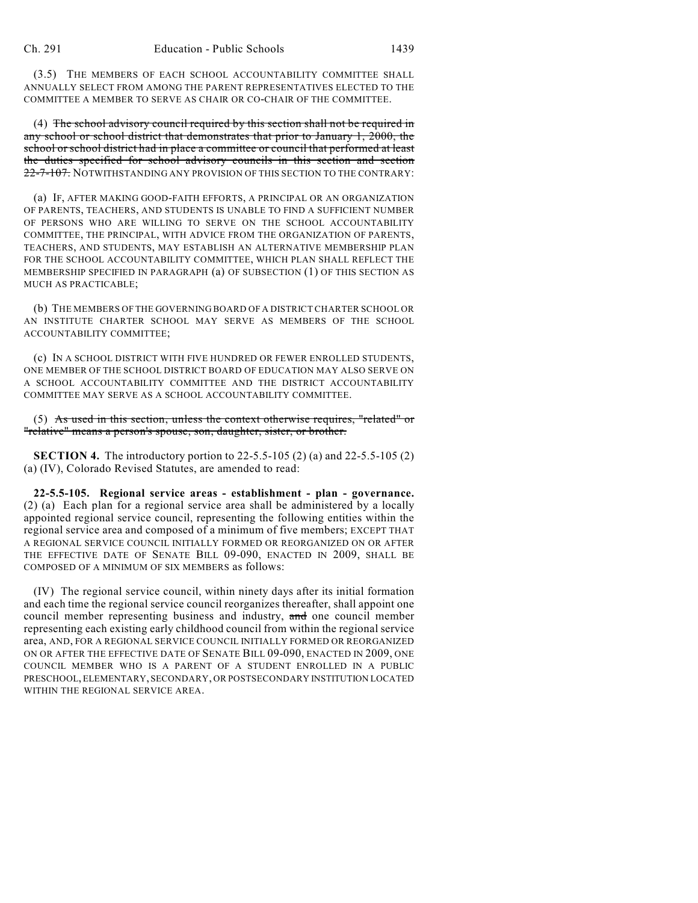(3.5) THE MEMBERS OF EACH SCHOOL ACCOUNTABILITY COMMITTEE SHALL ANNUALLY SELECT FROM AMONG THE PARENT REPRESENTATIVES ELECTED TO THE COMMITTEE A MEMBER TO SERVE AS CHAIR OR CO-CHAIR OF THE COMMITTEE.

(4) The school advisory council required by this section shall not be required in any school or school district that demonstrates that prior to January 1, 2000, the school or school district had in place a committee or council that performed at least the duties specified for school advisory councils in this section and section 22-7-107. NOTWITHSTANDING ANY PROVISION OF THIS SECTION TO THE CONTRARY:

(a) IF, AFTER MAKING GOOD-FAITH EFFORTS, A PRINCIPAL OR AN ORGANIZATION OF PARENTS, TEACHERS, AND STUDENTS IS UNABLE TO FIND A SUFFICIENT NUMBER OF PERSONS WHO ARE WILLING TO SERVE ON THE SCHOOL ACCOUNTABILITY COMMITTEE, THE PRINCIPAL, WITH ADVICE FROM THE ORGANIZATION OF PARENTS, TEACHERS, AND STUDENTS, MAY ESTABLISH AN ALTERNATIVE MEMBERSHIP PLAN FOR THE SCHOOL ACCOUNTABILITY COMMITTEE, WHICH PLAN SHALL REFLECT THE MEMBERSHIP SPECIFIED IN PARAGRAPH (a) OF SUBSECTION (1) OF THIS SECTION AS MUCH AS PRACTICABLE;

(b) THE MEMBERS OF THE GOVERNING BOARD OF A DISTRICT CHARTER SCHOOL OR AN INSTITUTE CHARTER SCHOOL MAY SERVE AS MEMBERS OF THE SCHOOL ACCOUNTABILITY COMMITTEE;

(c) IN A SCHOOL DISTRICT WITH FIVE HUNDRED OR FEWER ENROLLED STUDENTS, ONE MEMBER OF THE SCHOOL DISTRICT BOARD OF EDUCATION MAY ALSO SERVE ON A SCHOOL ACCOUNTABILITY COMMITTEE AND THE DISTRICT ACCOUNTABILITY COMMITTEE MAY SERVE AS A SCHOOL ACCOUNTABILITY COMMITTEE.

(5) As used in this section, unless the context otherwise requires, "related" or "relative" means a person's spouse, son, daughter, sister, or brother.

**SECTION 4.** The introductory portion to 22-5.5-105 (2) (a) and 22-5.5-105 (2) (a) (IV), Colorado Revised Statutes, are amended to read:

**22-5.5-105. Regional service areas - establishment - plan - governance.** (2) (a) Each plan for a regional service area shall be administered by a locally appointed regional service council, representing the following entities within the regional service area and composed of a minimum of five members; EXCEPT THAT A REGIONAL SERVICE COUNCIL INITIALLY FORMED OR REORGANIZED ON OR AFTER THE EFFECTIVE DATE OF SENATE BILL 09-090, ENACTED IN 2009, SHALL BE COMPOSED OF A MINIMUM OF SIX MEMBERS as follows:

(IV) The regional service council, within ninety days after its initial formation and each time the regional service council reorganizes thereafter, shall appoint one council member representing business and industry, and one council member representing each existing early childhood council from within the regional service area, AND, FOR A REGIONAL SERVICE COUNCIL INITIALLY FORMED OR REORGANIZED ON OR AFTER THE EFFECTIVE DATE OF SENATE BILL 09-090, ENACTED IN 2009, ONE COUNCIL MEMBER WHO IS A PARENT OF A STUDENT ENROLLED IN A PUBLIC PRESCHOOL, ELEMENTARY, SECONDARY, OR POSTSECONDARY INSTITUTION LOCATED WITHIN THE REGIONAL SERVICE AREA.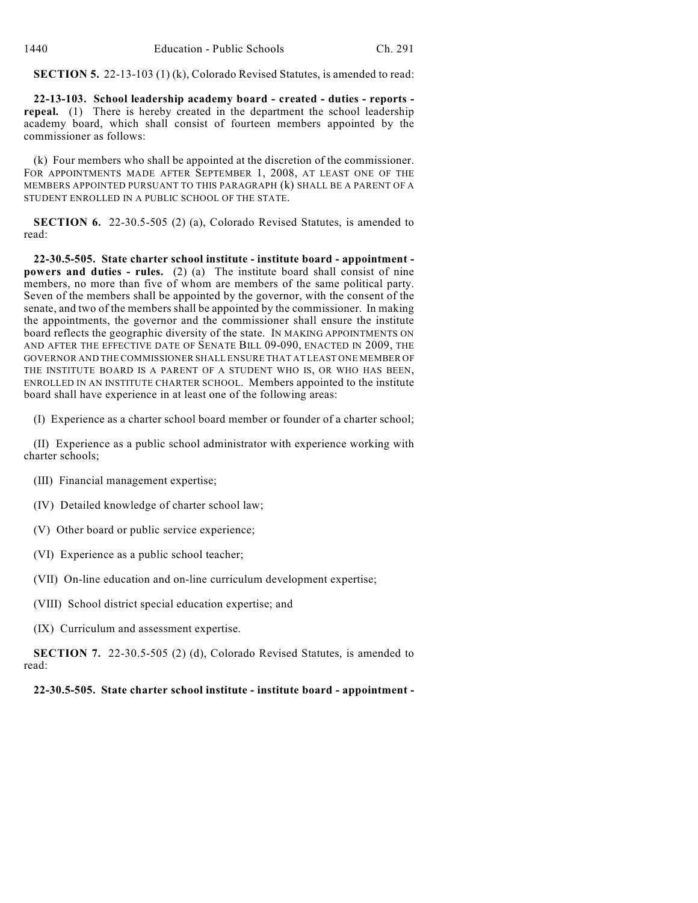**SECTION 5.** 22-13-103 (1) (k), Colorado Revised Statutes, is amended to read:

**22-13-103. School leadership academy board - created - duties - reports repeal.** (1) There is hereby created in the department the school leadership academy board, which shall consist of fourteen members appointed by the commissioner as follows:

(k) Four members who shall be appointed at the discretion of the commissioner. FOR APPOINTMENTS MADE AFTER SEPTEMBER 1, 2008, AT LEAST ONE OF THE MEMBERS APPOINTED PURSUANT TO THIS PARAGRAPH (k) SHALL BE A PARENT OF A STUDENT ENROLLED IN A PUBLIC SCHOOL OF THE STATE.

**SECTION 6.** 22-30.5-505 (2) (a), Colorado Revised Statutes, is amended to read:

**22-30.5-505. State charter school institute - institute board - appointment powers and duties - rules.** (2) (a) The institute board shall consist of nine members, no more than five of whom are members of the same political party. Seven of the members shall be appointed by the governor, with the consent of the senate, and two of the members shall be appointed by the commissioner. In making the appointments, the governor and the commissioner shall ensure the institute board reflects the geographic diversity of the state. IN MAKING APPOINTMENTS ON AND AFTER THE EFFECTIVE DATE OF SENATE BILL 09-090, ENACTED IN 2009, THE GOVERNOR AND THE COMMISSIONER SHALL ENSURE THAT AT LEAST ONE MEMBER OF THE INSTITUTE BOARD IS A PARENT OF A STUDENT WHO IS, OR WHO HAS BEEN, ENROLLED IN AN INSTITUTE CHARTER SCHOOL. Members appointed to the institute board shall have experience in at least one of the following areas:

(I) Experience as a charter school board member or founder of a charter school;

(II) Experience as a public school administrator with experience working with charter schools;

- (III) Financial management expertise;
- (IV) Detailed knowledge of charter school law;
- (V) Other board or public service experience;
- (VI) Experience as a public school teacher;
- (VII) On-line education and on-line curriculum development expertise;
- (VIII) School district special education expertise; and
- (IX) Curriculum and assessment expertise.

**SECTION 7.** 22-30.5-505 (2) (d), Colorado Revised Statutes, is amended to read:

**22-30.5-505. State charter school institute - institute board - appointment -**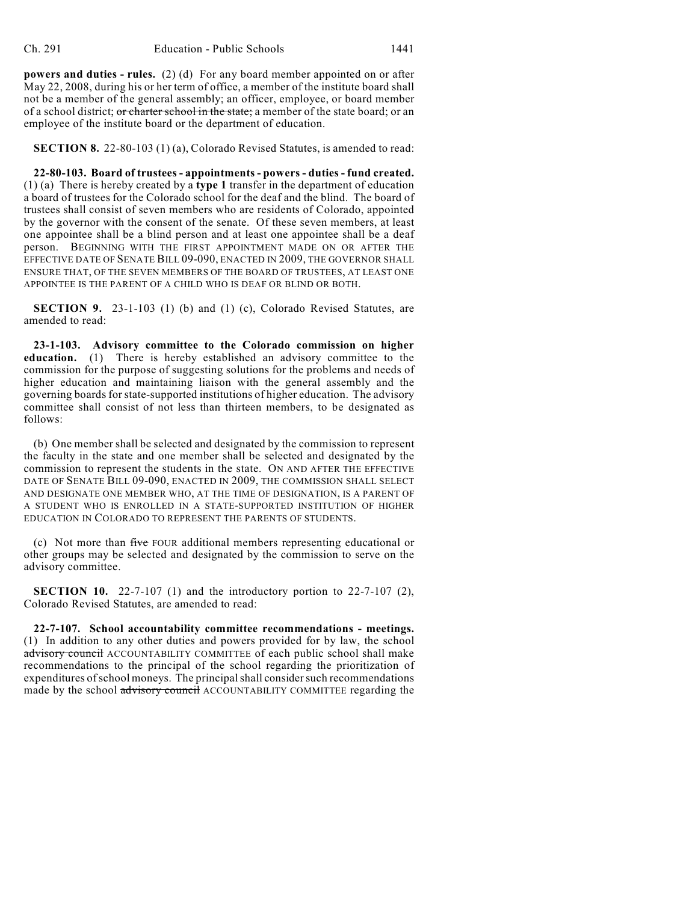**powers and duties - rules.** (2) (d) For any board member appointed on or after May 22, 2008, during his or her term of office, a member of the institute board shall not be a member of the general assembly; an officer, employee, or board member of a school district; or charter school in the state; a member of the state board; or an employee of the institute board or the department of education.

**SECTION 8.** 22-80-103 (1) (a), Colorado Revised Statutes, is amended to read:

**22-80-103. Board of trustees - appointments - powers - duties - fund created.** (1) (a) There is hereby created by a **type 1** transfer in the department of education a board of trustees for the Colorado school for the deaf and the blind. The board of trustees shall consist of seven members who are residents of Colorado, appointed by the governor with the consent of the senate. Of these seven members, at least one appointee shall be a blind person and at least one appointee shall be a deaf person. BEGINNING WITH THE FIRST APPOINTMENT MADE ON OR AFTER THE EFFECTIVE DATE OF SENATE BILL 09-090, ENACTED IN 2009, THE GOVERNOR SHALL ENSURE THAT, OF THE SEVEN MEMBERS OF THE BOARD OF TRUSTEES, AT LEAST ONE APPOINTEE IS THE PARENT OF A CHILD WHO IS DEAF OR BLIND OR BOTH.

**SECTION 9.** 23-1-103 (1) (b) and (1) (c), Colorado Revised Statutes, are amended to read:

**23-1-103. Advisory committee to the Colorado commission on higher education.** (1) There is hereby established an advisory committee to the commission for the purpose of suggesting solutions for the problems and needs of higher education and maintaining liaison with the general assembly and the governing boards for state-supported institutions of higher education. The advisory committee shall consist of not less than thirteen members, to be designated as follows:

(b) One member shall be selected and designated by the commission to represent the faculty in the state and one member shall be selected and designated by the commission to represent the students in the state. ON AND AFTER THE EFFECTIVE DATE OF SENATE BILL 09-090, ENACTED IN 2009, THE COMMISSION SHALL SELECT AND DESIGNATE ONE MEMBER WHO, AT THE TIME OF DESIGNATION, IS A PARENT OF A STUDENT WHO IS ENROLLED IN A STATE-SUPPORTED INSTITUTION OF HIGHER EDUCATION IN COLORADO TO REPRESENT THE PARENTS OF STUDENTS.

(c) Not more than five FOUR additional members representing educational or other groups may be selected and designated by the commission to serve on the advisory committee.

**SECTION 10.** 22-7-107 (1) and the introductory portion to 22-7-107 (2), Colorado Revised Statutes, are amended to read:

**22-7-107. School accountability committee recommendations - meetings.** (1) In addition to any other duties and powers provided for by law, the school advisory council ACCOUNTABILITY COMMITTEE of each public school shall make recommendations to the principal of the school regarding the prioritization of expenditures of school moneys. The principal shall consider such recommendations made by the school advisory council ACCOUNTABILITY COMMITTEE regarding the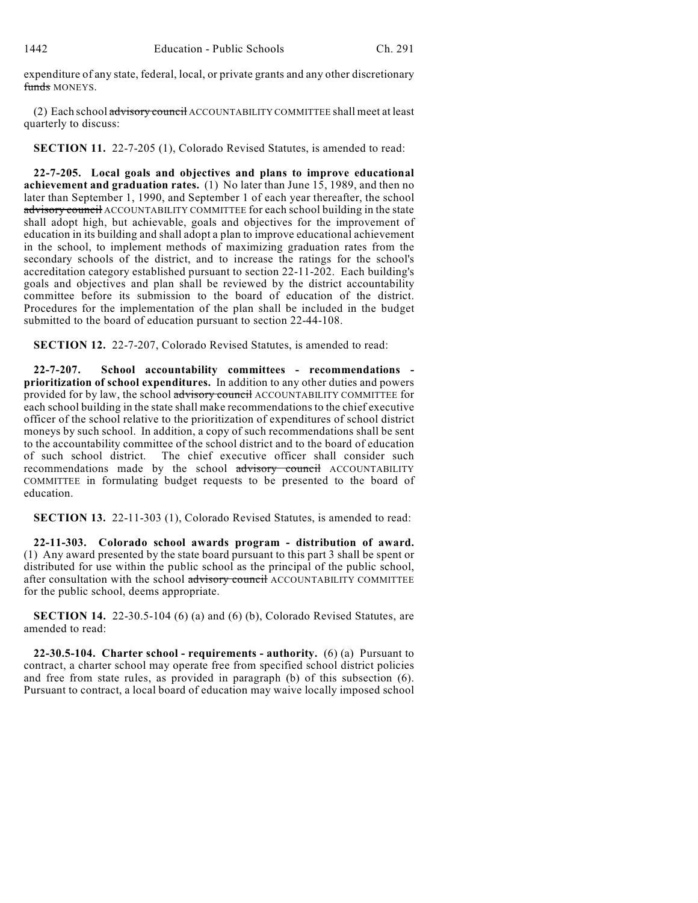expenditure of any state, federal, local, or private grants and any other discretionary funds MONEYS.

(2) Each school advisory council ACCOUNTABILITY COMMITTEE shall meet at least quarterly to discuss:

**SECTION 11.** 22-7-205 (1), Colorado Revised Statutes, is amended to read:

**22-7-205. Local goals and objectives and plans to improve educational achievement and graduation rates.** (1) No later than June 15, 1989, and then no later than September 1, 1990, and September 1 of each year thereafter, the school advisory council ACCOUNTABILITY COMMITTEE for each school building in the state shall adopt high, but achievable, goals and objectives for the improvement of education in its building and shall adopt a plan to improve educational achievement in the school, to implement methods of maximizing graduation rates from the secondary schools of the district, and to increase the ratings for the school's accreditation category established pursuant to section 22-11-202. Each building's goals and objectives and plan shall be reviewed by the district accountability committee before its submission to the board of education of the district. Procedures for the implementation of the plan shall be included in the budget submitted to the board of education pursuant to section 22-44-108.

**SECTION 12.** 22-7-207, Colorado Revised Statutes, is amended to read:

**22-7-207. School accountability committees - recommendations prioritization of school expenditures.** In addition to any other duties and powers provided for by law, the school advisory council ACCOUNTABILITY COMMITTEE for each school building in the state shall make recommendations to the chief executive officer of the school relative to the prioritization of expenditures of school district moneys by such school. In addition, a copy of such recommendations shall be sent to the accountability committee of the school district and to the board of education of such school district. The chief executive officer shall consider such recommendations made by the school advisory council ACCOUNTABILITY COMMITTEE in formulating budget requests to be presented to the board of education.

**SECTION 13.** 22-11-303 (1), Colorado Revised Statutes, is amended to read:

**22-11-303. Colorado school awards program - distribution of award.** (1) Any award presented by the state board pursuant to this part 3 shall be spent or distributed for use within the public school as the principal of the public school, after consultation with the school advisory council ACCOUNTABILITY COMMITTEE for the public school, deems appropriate.

**SECTION 14.** 22-30.5-104 (6) (a) and (6) (b), Colorado Revised Statutes, are amended to read:

**22-30.5-104. Charter school - requirements - authority.** (6) (a) Pursuant to contract, a charter school may operate free from specified school district policies and free from state rules, as provided in paragraph (b) of this subsection (6). Pursuant to contract, a local board of education may waive locally imposed school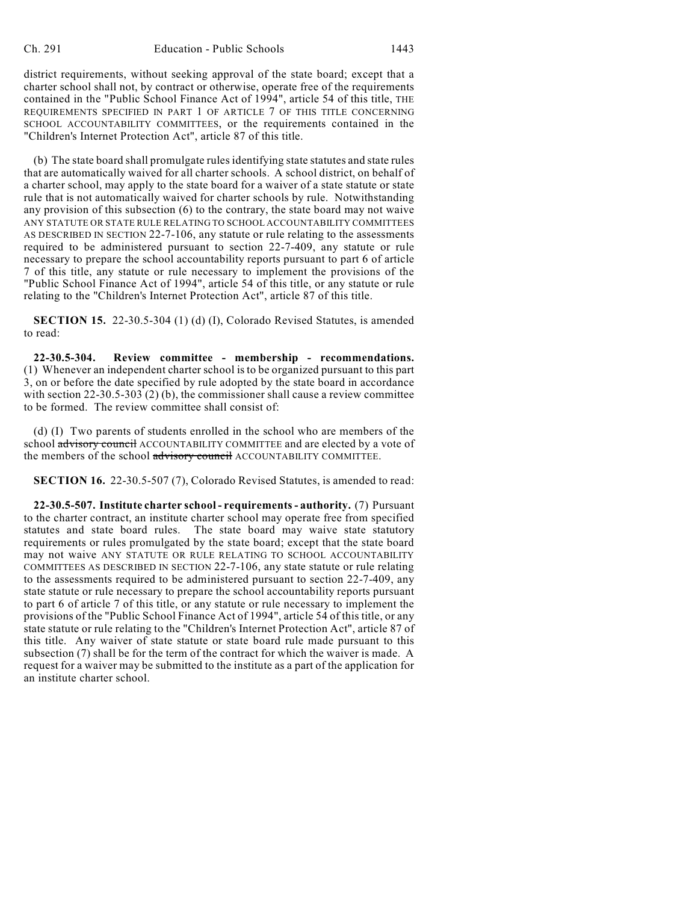district requirements, without seeking approval of the state board; except that a charter school shall not, by contract or otherwise, operate free of the requirements contained in the "Public School Finance Act of 1994", article 54 of this title, THE REQUIREMENTS SPECIFIED IN PART 1 OF ARTICLE 7 OF THIS TITLE CONCERNING SCHOOL ACCOUNTABILITY COMMITTEES, or the requirements contained in the "Children's Internet Protection Act", article 87 of this title.

(b) The state board shall promulgate rules identifying state statutes and state rules that are automatically waived for all charter schools. A school district, on behalf of a charter school, may apply to the state board for a waiver of a state statute or state rule that is not automatically waived for charter schools by rule. Notwithstanding any provision of this subsection (6) to the contrary, the state board may not waive ANY STATUTE OR STATE RULE RELATING TO SCHOOL ACCOUNTABILITY COMMITTEES AS DESCRIBED IN SECTION 22-7-106, any statute or rule relating to the assessments required to be administered pursuant to section 22-7-409, any statute or rule necessary to prepare the school accountability reports pursuant to part 6 of article 7 of this title, any statute or rule necessary to implement the provisions of the "Public School Finance Act of 1994", article 54 of this title, or any statute or rule relating to the "Children's Internet Protection Act", article 87 of this title.

**SECTION 15.** 22-30.5-304 (1) (d) (I), Colorado Revised Statutes, is amended to read:

**22-30.5-304. Review committee - membership - recommendations.** (1) Whenever an independent charter school is to be organized pursuant to this part 3, on or before the date specified by rule adopted by the state board in accordance with section 22-30.5-303 (2) (b), the commissioner shall cause a review committee to be formed. The review committee shall consist of:

(d) (I) Two parents of students enrolled in the school who are members of the school advisory council ACCOUNTABILITY COMMITTEE and are elected by a vote of the members of the school advisory council ACCOUNTABILITY COMMITTEE.

**SECTION 16.** 22-30.5-507 (7), Colorado Revised Statutes, is amended to read:

**22-30.5-507. Institute charter school - requirements - authority.** (7) Pursuant to the charter contract, an institute charter school may operate free from specified statutes and state board rules. The state board may waive state statutory requirements or rules promulgated by the state board; except that the state board may not waive ANY STATUTE OR RULE RELATING TO SCHOOL ACCOUNTABILITY COMMITTEES AS DESCRIBED IN SECTION 22-7-106, any state statute or rule relating to the assessments required to be administered pursuant to section 22-7-409, any state statute or rule necessary to prepare the school accountability reports pursuant to part 6 of article 7 of this title, or any statute or rule necessary to implement the provisions of the "Public School Finance Act of 1994", article 54 of this title, or any state statute or rule relating to the "Children's Internet Protection Act", article 87 of this title. Any waiver of state statute or state board rule made pursuant to this subsection (7) shall be for the term of the contract for which the waiver is made. A request for a waiver may be submitted to the institute as a part of the application for an institute charter school.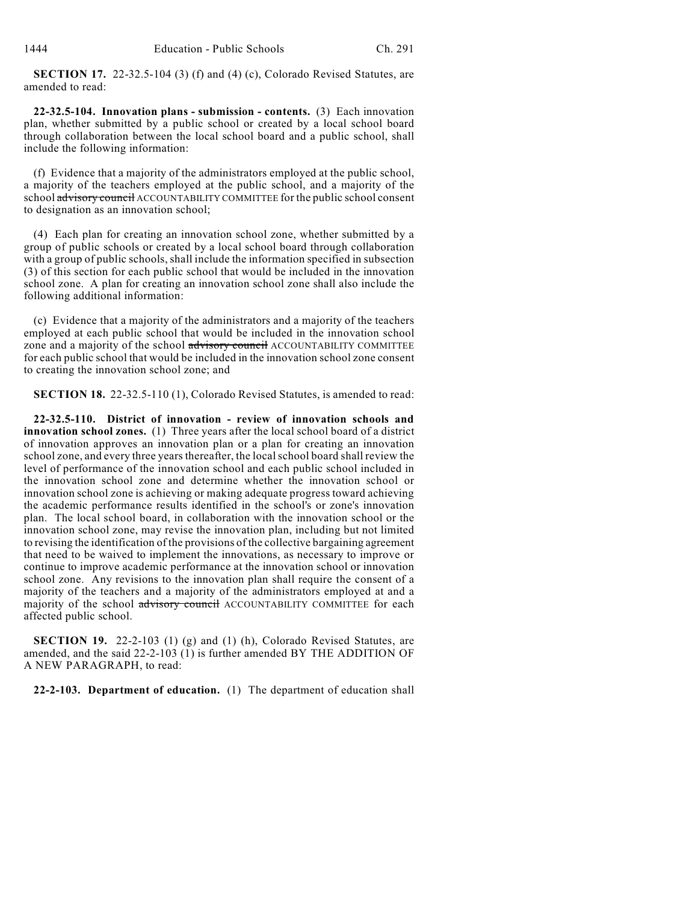**SECTION 17.** 22-32.5-104 (3) (f) and (4) (c), Colorado Revised Statutes, are amended to read:

**22-32.5-104. Innovation plans - submission - contents.** (3) Each innovation plan, whether submitted by a public school or created by a local school board through collaboration between the local school board and a public school, shall include the following information:

(f) Evidence that a majority of the administrators employed at the public school, a majority of the teachers employed at the public school, and a majority of the school advisory council ACCOUNTABILITY COMMITTEE for the public school consent to designation as an innovation school;

(4) Each plan for creating an innovation school zone, whether submitted by a group of public schools or created by a local school board through collaboration with a group of public schools, shall include the information specified in subsection (3) of this section for each public school that would be included in the innovation school zone. A plan for creating an innovation school zone shall also include the following additional information:

(c) Evidence that a majority of the administrators and a majority of the teachers employed at each public school that would be included in the innovation school zone and a majority of the school advisory council ACCOUNTABILITY COMMITTEE for each public school that would be included in the innovation school zone consent to creating the innovation school zone; and

**SECTION 18.** 22-32.5-110 (1), Colorado Revised Statutes, is amended to read:

**22-32.5-110. District of innovation - review of innovation schools and innovation school zones.** (1) Three years after the local school board of a district of innovation approves an innovation plan or a plan for creating an innovation school zone, and every three years thereafter, the local school board shall review the level of performance of the innovation school and each public school included in the innovation school zone and determine whether the innovation school or innovation school zone is achieving or making adequate progress toward achieving the academic performance results identified in the school's or zone's innovation plan. The local school board, in collaboration with the innovation school or the innovation school zone, may revise the innovation plan, including but not limited to revising the identification of the provisions of the collective bargaining agreement that need to be waived to implement the innovations, as necessary to improve or continue to improve academic performance at the innovation school or innovation school zone. Any revisions to the innovation plan shall require the consent of a majority of the teachers and a majority of the administrators employed at and a majority of the school advisory council ACCOUNTABILITY COMMITTEE for each affected public school.

**SECTION 19.** 22-2-103 (1) (g) and (1) (h), Colorado Revised Statutes, are amended, and the said 22-2-103 (1) is further amended BY THE ADDITION OF A NEW PARAGRAPH, to read:

**22-2-103. Department of education.** (1) The department of education shall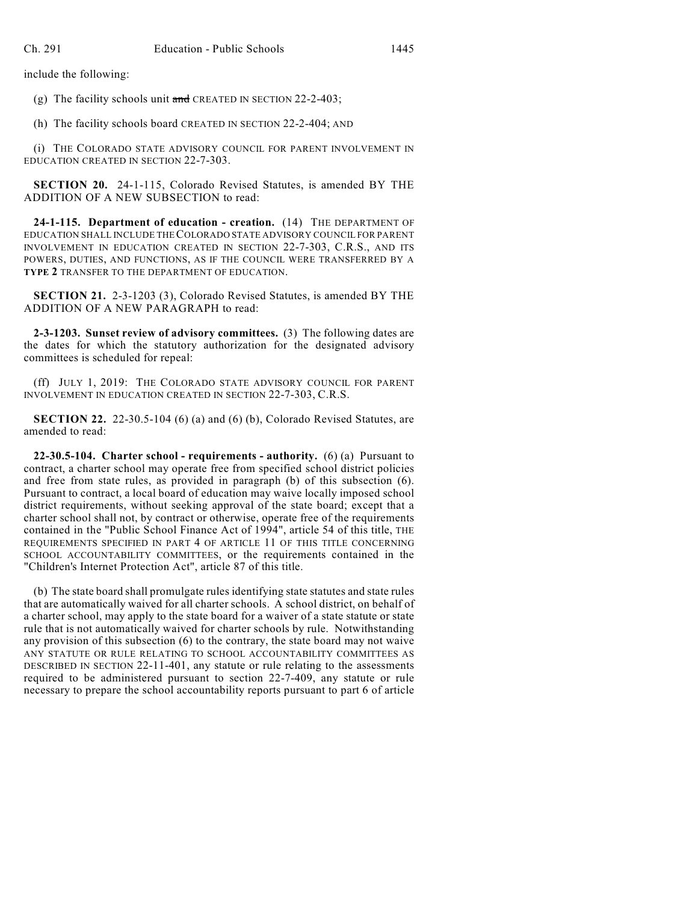include the following:

(g) The facility schools unit  $\frac{1}{\text{and}}$  CREATED IN SECTION 22-2-403;

(h) The facility schools board CREATED IN SECTION 22-2-404; AND

(i) THE COLORADO STATE ADVISORY COUNCIL FOR PARENT INVOLVEMENT IN EDUCATION CREATED IN SECTION 22-7-303.

**SECTION 20.** 24-1-115, Colorado Revised Statutes, is amended BY THE ADDITION OF A NEW SUBSECTION to read:

**24-1-115. Department of education - creation.** (14) THE DEPARTMENT OF EDUCATION SHALL INCLUDE THE COLORADO STATE ADVISORY COUNCIL FOR PARENT INVOLVEMENT IN EDUCATION CREATED IN SECTION 22-7-303, C.R.S., AND ITS POWERS, DUTIES, AND FUNCTIONS, AS IF THE COUNCIL WERE TRANSFERRED BY A **TYPE 2** TRANSFER TO THE DEPARTMENT OF EDUCATION.

**SECTION 21.** 2-3-1203 (3), Colorado Revised Statutes, is amended BY THE ADDITION OF A NEW PARAGRAPH to read:

**2-3-1203. Sunset review of advisory committees.** (3) The following dates are the dates for which the statutory authorization for the designated advisory committees is scheduled for repeal:

(ff) JULY 1, 2019: THE COLORADO STATE ADVISORY COUNCIL FOR PARENT INVOLVEMENT IN EDUCATION CREATED IN SECTION 22-7-303, C.R.S.

**SECTION 22.** 22-30.5-104 (6) (a) and (6) (b), Colorado Revised Statutes, are amended to read:

**22-30.5-104. Charter school - requirements - authority.** (6) (a) Pursuant to contract, a charter school may operate free from specified school district policies and free from state rules, as provided in paragraph (b) of this subsection (6). Pursuant to contract, a local board of education may waive locally imposed school district requirements, without seeking approval of the state board; except that a charter school shall not, by contract or otherwise, operate free of the requirements contained in the "Public School Finance Act of 1994", article 54 of this title, THE REQUIREMENTS SPECIFIED IN PART 4 OF ARTICLE 11 OF THIS TITLE CONCERNING SCHOOL ACCOUNTABILITY COMMITTEES, or the requirements contained in the "Children's Internet Protection Act", article 87 of this title.

(b) The state board shall promulgate rules identifying state statutes and state rules that are automatically waived for all charter schools. A school district, on behalf of a charter school, may apply to the state board for a waiver of a state statute or state rule that is not automatically waived for charter schools by rule. Notwithstanding any provision of this subsection (6) to the contrary, the state board may not waive ANY STATUTE OR RULE RELATING TO SCHOOL ACCOUNTABILITY COMMITTEES AS DESCRIBED IN SECTION 22-11-401, any statute or rule relating to the assessments required to be administered pursuant to section 22-7-409, any statute or rule necessary to prepare the school accountability reports pursuant to part 6 of article